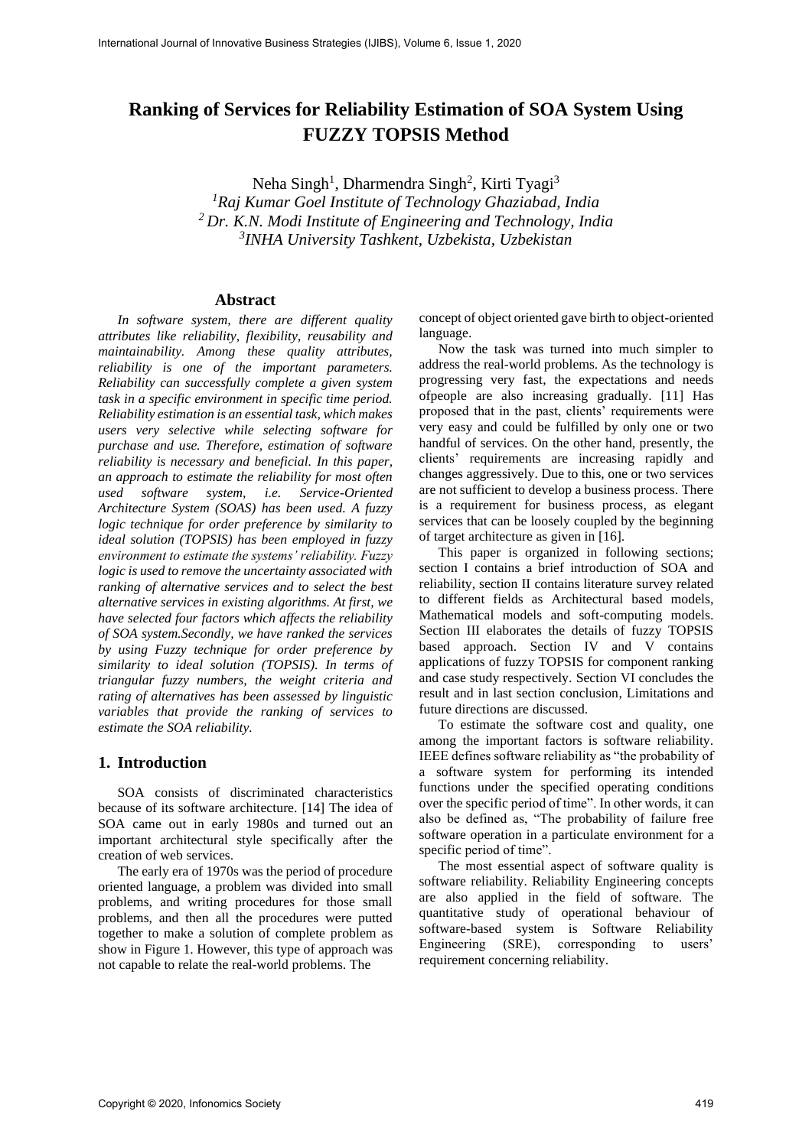# **Ranking of Services for Reliability Estimation of SOA System Using FUZZY TOPSIS Method**

Neha Singh<sup>1</sup>, Dharmendra Singh<sup>2</sup>, Kirti Tyagi<sup>3</sup> *Raj Kumar Goel Institute of Technology Ghaziabad, India Dr. K.N. Modi Institute of Engineering and Technology, India INHA University Tashkent, Uzbekista, Uzbekistan*

#### **Abstract**

*In software system, there are different quality attributes like reliability, flexibility, reusability and maintainability. Among these quality attributes, reliability is one of the important parameters. Reliability can successfully complete a given system task in a specific environment in specific time period. Reliability estimation is an essential task, which makes users very selective while selecting software for purchase and use. Therefore, estimation of software reliability is necessary and beneficial. In this paper, an approach to estimate the reliability for most often used software system, i.e. Service-Oriented Architecture System (SOAS) has been used. A fuzzy logic technique for order preference by similarity to ideal solution (TOPSIS) has been employed in fuzzy environment to estimate the systems' reliability. Fuzzy logic is used to remove the uncertainty associated with ranking of alternative services and to select the best alternative services in existing algorithms. At first, we have selected four factors which affects the reliability of SOA system.Secondly, we have ranked the services by using Fuzzy technique for order preference by similarity to ideal solution (TOPSIS). In terms of triangular fuzzy numbers, the weight criteria and rating of alternatives has been assessed by linguistic variables that provide the ranking of services to estimate the SOA reliability.*

#### **1. Introduction**

SOA consists of discriminated characteristics because of its software architecture. [14] The idea of SOA came out in early 1980s and turned out an important architectural style specifically after the creation of web services.

The early era of 1970s was the period of procedure oriented language, a problem was divided into small problems, and writing procedures for those small problems, and then all the procedures were putted together to make a solution of complete problem as show in Figure 1. However, this type of approach was not capable to relate the real-world problems. The

concept of object oriented gave birth to object-oriented language.

Now the task was turned into much simpler to address the real-world problems. As the technology is progressing very fast, the expectations and needs ofpeople are also increasing gradually. [11] Has proposed that in the past, clients' requirements were very easy and could be fulfilled by only one or two handful of services. On the other hand, presently, the clients' requirements are increasing rapidly and changes aggressively. Due to this, one or two services are not sufficient to develop a business process. There is a requirement for business process, as elegant services that can be loosely coupled by the beginning of target architecture as given in [16].

This paper is organized in following sections; section I contains a brief introduction of SOA and reliability, section II contains literature survey related to different fields as Architectural based models, Mathematical models and soft-computing models. Section III elaborates the details of fuzzy TOPSIS based approach. Section IV and V contains applications of fuzzy TOPSIS for component ranking and case study respectively. Section VI concludes the result and in last section conclusion, Limitations and future directions are discussed.

To estimate the software cost and quality, one among the important factors is software reliability. IEEE defines software reliability as "the probability of a software system for performing its intended functions under the specified operating conditions over the specific period of time". In other words, it can also be defined as, "The probability of failure free software operation in a particulate environment for a specific period of time".

The most essential aspect of software quality is software reliability. Reliability Engineering concepts are also applied in the field of software. The quantitative study of operational behaviour of software-based system is Software Reliability Engineering (SRE), corresponding to users' requirement concerning reliability.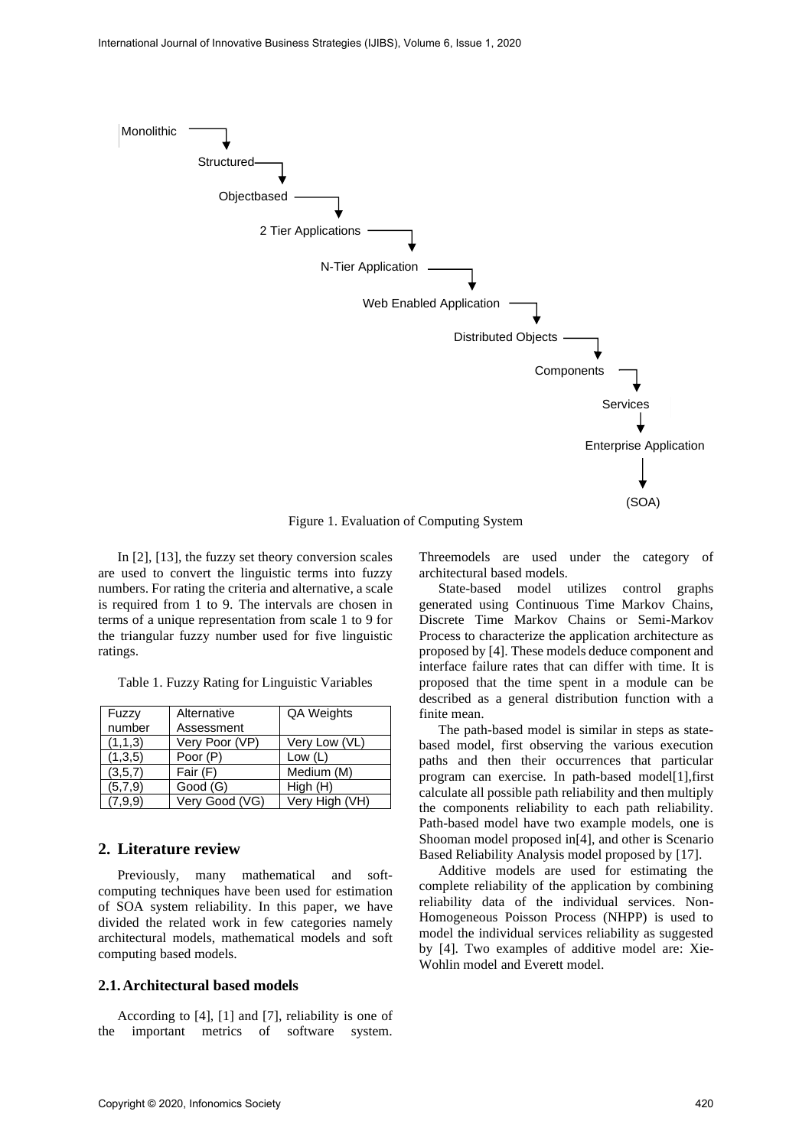

Figure 1. Evaluation of Computing System

In [2], [13], the fuzzy set theory conversion scales are used to convert the linguistic terms into fuzzy numbers. For rating the criteria and alternative, a scale is required from 1 to 9. The intervals are chosen in terms of a unique representation from scale 1 to 9 for the triangular fuzzy number used for five linguistic ratings.

Table 1. Fuzzy Rating for Linguistic Variables

| Fuzzy   | Alternative    | QA Weights     |
|---------|----------------|----------------|
| number  | Assessment     |                |
| (1,1,3) | Very Poor (VP) | Very Low (VL)  |
| (1,3,5) | Poor (P)       | Low $(L)$      |
| (3,5,7) | Fair (F)       | Medium (M)     |
| (5.7.9) | Good (G)       | High (H)       |
| (7,9,9) | Very Good (VG) | Very High (VH) |

# **2. Literature review**

Previously, many mathematical and softcomputing techniques have been used for estimation of SOA system reliability. In this paper, we have divided the related work in few categories namely architectural models, mathematical models and soft computing based models.

#### **2.1.Architectural based models**

According to [4], [1] and [7], reliability is one of the important metrics of software system.

Threemodels are used under the category of architectural based models.

State-based model utilizes control graphs generated using Continuous Time Markov Chains, Discrete Time Markov Chains or Semi-Markov Process to characterize the application architecture as proposed by [4]. These models deduce component and interface failure rates that can differ with time. It is proposed that the time spent in a module can be described as a general distribution function with a finite mean.

The path-based model is similar in steps as statebased model, first observing the various execution paths and then their occurrences that particular program can exercise. In path-based model[1],first calculate all possible path reliability and then multiply the components reliability to each path reliability. Path-based model have two example models, one is Shooman model proposed in[4], and other is Scenario Based Reliability Analysis model proposed by [17].

Additive models are used for estimating the complete reliability of the application by combining reliability data of the individual services. Non-Homogeneous Poisson Process (NHPP) is used to model the individual services reliability as suggested by [4]. Two examples of additive model are: Xie-Wohlin model and Everett model.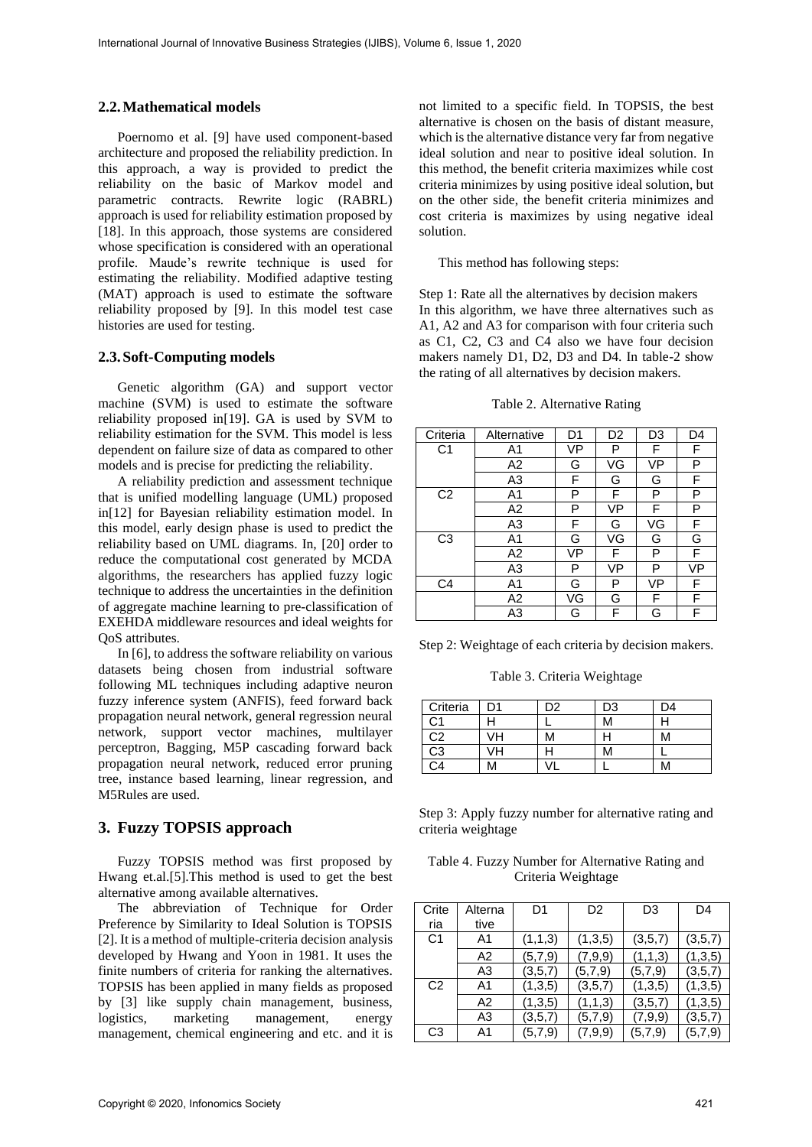#### **2.2.Mathematical models**

Poernomo et al. [9] have used component-based architecture and proposed the reliability prediction. In this approach, a way is provided to predict the reliability on the basic of Markov model and parametric contracts. Rewrite logic (RABRL) approach is used for reliability estimation proposed by [18]. In this approach, those systems are considered whose specification is considered with an operational profile. Maude's rewrite technique is used for estimating the reliability. Modified adaptive testing (MAT) approach is used to estimate the software reliability proposed by [9]. In this model test case histories are used for testing.

## **2.3.Soft-Computing models**

Genetic algorithm (GA) and support vector machine (SVM) is used to estimate the software reliability proposed in[19]. GA is used by SVM to reliability estimation for the SVM. This model is less dependent on failure size of data as compared to other models and is precise for predicting the reliability.

A reliability prediction and assessment technique that is unified modelling language (UML) proposed in[12] for Bayesian reliability estimation model. In this model, early design phase is used to predict the reliability based on UML diagrams. In, [20] order to reduce the computational cost generated by MCDA algorithms, the researchers has applied fuzzy logic technique to address the uncertainties in the definition of aggregate machine learning to pre-classification of EXEHDA middleware resources and ideal weights for QoS attributes.

In [6], to address the software reliability on various datasets being chosen from industrial software following ML techniques including adaptive neuron fuzzy inference system (ANFIS), feed forward back propagation neural network, general regression neural network, support vector machines, multilayer perceptron, Bagging, M5P cascading forward back propagation neural network, reduced error pruning tree, instance based learning, linear regression, and M5Rules are used.

#### **3. Fuzzy TOPSIS approach**

Fuzzy TOPSIS method was first proposed by Hwang et.al.[5].This method is used to get the best alternative among available alternatives.

The abbreviation of Technique for Order Preference by Similarity to Ideal Solution is TOPSIS [2]. It is a method of multiple-criteria decision analysis developed by Hwang and Yoon in 1981. It uses the finite numbers of criteria for ranking the alternatives. TOPSIS has been applied in many fields as proposed by [3] like supply chain management, business, logistics, marketing management, energy management, chemical engineering and etc. and it is

not limited to a specific field. In TOPSIS, the best alternative is chosen on the basis of distant measure, which is the alternative distance very far from negative ideal solution and near to positive ideal solution. In this method, the benefit criteria maximizes while cost criteria minimizes by using positive ideal solution, but on the other side, the benefit criteria minimizes and cost criteria is maximizes by using negative ideal solution.

#### This method has following steps:

Step 1: Rate all the alternatives by decision makers In this algorithm, we have three alternatives such as A1, A2 and A3 for comparison with four criteria such as C1, C2, C3 and C4 also we have four decision makers namely D1, D2, D3 and D4. In table-2 show the rating of all alternatives by decision makers.

Table 2. Alternative Rating

| Criteria       | Alternative | D <sub>1</sub> | D <sub>2</sub> | D <sub>3</sub> | D4 |
|----------------|-------------|----------------|----------------|----------------|----|
| C <sub>1</sub> | A1          | VP             | P              | F              | F  |
|                | A2          | G              | VG             | VP             | P  |
|                | A3          | F              | G              | G              | F  |
| C <sub>2</sub> | A1          | P              | F              | P              | P  |
|                | A2          | Р              | VP             | F              | P  |
|                | A3          | F              | G              | VG             | F  |
| C <sub>3</sub> | A1          | G              | VG             | G              | G  |
|                | A2          | VP             | F              | Р              | F  |
|                | A3          | Р              | VP             | P              | VP |
| C <sub>4</sub> | A1          | G              | P              | VP             | F  |
|                | A2          | VG             | G              | F              | F  |
|                | A3          | G              | F              | G              | F  |

Step 2: Weightage of each criteria by decision makers.

Table 3. Criteria Weightage

| Criteria        |    | 2כ | D3 | D4 |
|-----------------|----|----|----|----|
| C1              |    |    | М  |    |
| C <sub>2</sub>  | ЛΗ |    |    |    |
| $\overline{C3}$ | ЛH |    | М  |    |
| `4              |    |    |    |    |

Step 3: Apply fuzzy number for alternative rating and criteria weightage

Table 4. Fuzzy Number for Alternative Rating and Criteria Weightage

| Crite<br>ria   | Alterna<br>tive | D1      | D <sub>2</sub> | D3      | D4      |
|----------------|-----------------|---------|----------------|---------|---------|
| C <sub>1</sub> | A1              | (1,1,3) | (1,3,5)        | (3,5,7) | (3,5,7) |
|                | A2              | (5,7,9) | (7,9,9)        | (1,1,3) | (1,3,5) |
|                | A <sub>3</sub>  | (3,5,7) | (5,7,9)        | (5,7,9) | (3,5,7) |
| C <sub>2</sub> | A1              | (1,3,5) | (3,5,7)        | (1,3,5) | (1,3,5) |
|                | A2              | (1,3,5) | (1,1,3)        | (3,5,7) | (1,3,5) |
|                | A <sub>3</sub>  | (3,5,7) | (5,7,9)        | (7,9,9) | (3,5,7) |
| C <sub>3</sub> | A1              | (5,7,9) | (7,9,9)        | (5,7,9) | (5,7,9) |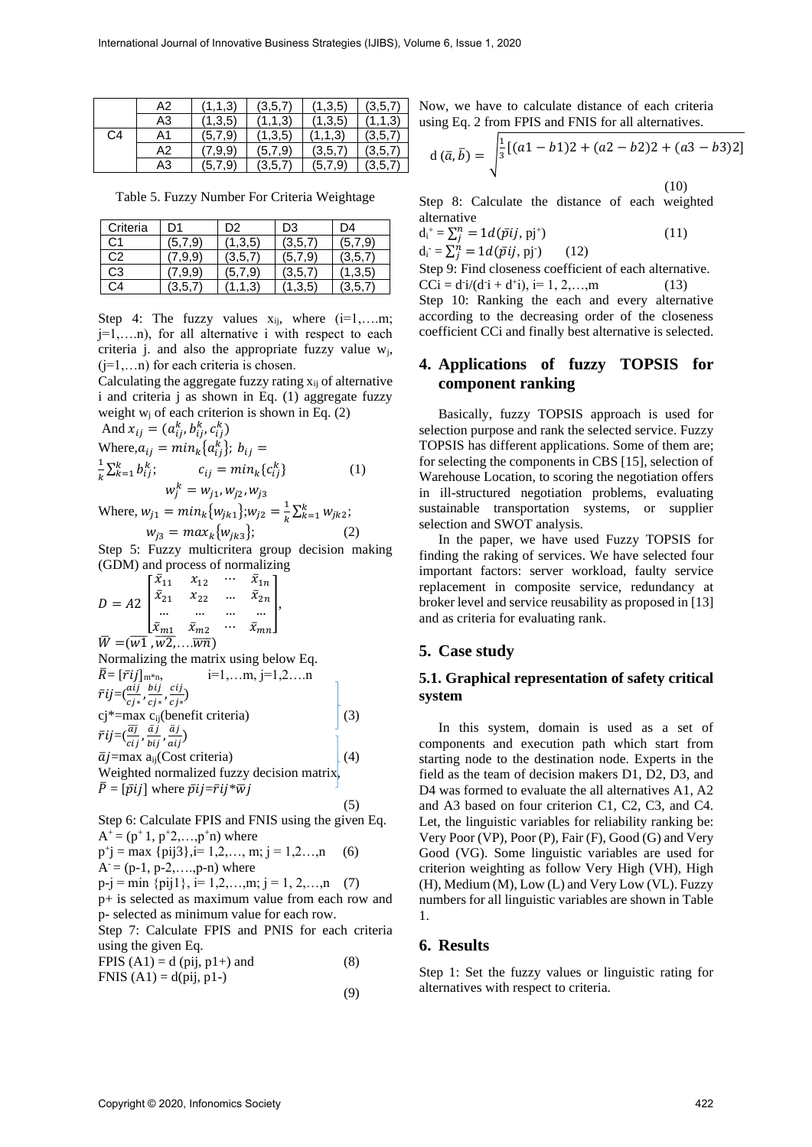|    | A2 | (1,1,3)                  | (3,5,7) | (1,3,5) | (3,5,7) |
|----|----|--------------------------|---------|---------|---------|
|    | A3 | (1,3,5)                  | (1,1,3) | (1,3,5) | (1,1,3) |
| C4 | A1 | (5,7,9)                  | (1,3,5) | (1,1,3) | (3,5,7) |
|    | A2 | $^{\prime}.9.9^{\prime}$ | (5,7,9) | (3,5,7) | (3,5,7) |
|    | A3 | .9`<br>(5.               | 3.5.    | (5.7.9) | 3,5,7   |

Table 5. Fuzzy Number For Criteria Weightage

| Criteria       | 1ר      | D2      | D3      | D4      |
|----------------|---------|---------|---------|---------|
| C1             | (5.7.9) | (1,3,5) | (3,5,7  | (5,7,9) |
| C <sub>2</sub> | 9.9     | (3.5.7) | (5,7,9) | (3.5.7) |
| C <sub>3</sub> | .9.9    | (5.7.9) | (3.5.7) | (1,3,5) |
| ( `∆           |         |         | (1,3,5) | (3,5,7) |

Step 4: The fuzzy values  $x_{ij}$ , where  $(i=1,...m;$ j=1,….n), for all alternative i with respect to each criteria j. and also the appropriate fuzzy value  $w_i$ ,  $(i=1,...n)$  for each criteria is chosen.

Calculating the aggregate fuzzy rating  $x_{ii}$  of alternative i and criteria j as shown in Eq. (1) aggregate fuzzy weight  $w_i$  of each criterion is shown in Eq. (2)

And 
$$
x_{ij} = (a_{ij}^k, b_{ij}^k, c_{ij}^k)
$$
  
\nWhere,  $a_{ij} = min_k \{a_{ij}^k\}; b_{ij} =$   
\n $\frac{1}{k} \sum_{k=1}^k b_{ij}^k$ ;  $c_{ij} = min_k \{c_{ij}^k\}$  (1)  
\n $w_j^k = w_{j1}, w_{j2}, w_{j3}$   
\nWhere,  $w_{ij} = min_k \{w_{ij} \}, w_{ij} = \frac{1}{k} \sum_{j=1}^k w_{ij}w_{ij}$ 

Where,  $w_{j1} = min_k \{w_{jk1}\}; w_{j2} =$  $\frac{1}{k} \sum_{k=1}^{k} w_{jk2};$  $w_{j3} = max_k \{w_{jk3}\};$  (2)

Step 5: Fuzzy multicritera group decision making (GDM) and process of normalizing

$$
D = A2 \begin{bmatrix} \bar{x}_{11} & x_{12} & \cdots & \bar{x}_{1n} \\ \bar{x}_{21} & x_{22} & \cdots & \bar{x}_{2n} \\ \cdots & \cdots & \cdots & \cdots \\ \bar{x}_{m1} & \bar{x}_{m2} & \cdots & \bar{x}_{mn} \end{bmatrix},
$$

 $W = (w1, w2, \ldots \overline{w}\overline{n})$ Normalizing the matrix using below Eq.  $\bar{R} = [\bar{r}ij]_{m*n}$ ,  $i=1,...m, j=1,2,...n$  $\bar{r}$ ij $=$  $(\frac{aij}{cj*}, \frac{bij}{cj*})$  $\frac{bij}{cj*}, \frac{cij}{cj*}$  $\frac{c_{ij}}{c_{j*}}$ cj\*=max c<sub>ij</sub>(benefit criteria) (3)  $\bar{r}$ ij $=$  $(\! \frac{\overline{a j}}{c i j}\! ,\! \frac{\bar{a} j}{b i j}\!$  $\frac{\bar{a}j}{bij},\frac{\bar{a}j}{ai}$  $\frac{a_j}{ai_j}$ 

$$
\vec{a}j = \max a_{ij} (Cost criteria)
$$
\nWeighted normalized fuzzy decision matrix,  
\n
$$
\vec{P} = [\vec{p}ij]
$$
 where  $\vec{p}ij = \vec{r}ij*\vec{w}j$  (5)

Step 6: Calculate FPIS and FNIS using the given Eq.  $A^+$  = ( $p^+$ 1,  $p^+$ 2,..., $p^+$ n) where  $p^+$ j = max {pij3},i= 1,2,..., m; j = 1,2...,n (6)  $A = (p-1, p-2, \ldots, p-n)$  where  $p-i = min \{pi1\}, i=1,2,...,m; j = 1,2,...,n$  (7) p+ is selected as maximum value from each row and p- selected as minimum value for each row. Step 7: Calculate FPIS and PNIS for each criteria using the given Eq. FPIS  $(A1) = d$  (pij,  $p1+$ ) and (8)

FNIS  $(A1) = d(pij, p1)$ (9)

Now, we have to calculate distance of each criteria using Eq. 2 from FPIS and FNIS for all alternatives.

$$
d(\bar{a}, \bar{b}) = \sqrt{\frac{1}{3}[(a1 - b1)2 + (a2 - b2)2 + (a3 - b3)2]}
$$
\n(10)

Step 8: Calculate the distance of each weighted alternative

$$
d_i^+ = \sum_{j}^{n} = 1d(\bar{p}ij, pj^+) d_i^- = \sum_{j}^{n} = 1d(\bar{p}ij, pj) \qquad (12)
$$

Step 9: Find closeness coefficient of each alternative.  $CCi = d'i/(d'i + d'i), i= 1, 2, ..., m$  (13)

Step 10: Ranking the each and every alternative according to the decreasing order of the closeness coefficient CCi and finally best alternative is selected.

# **4. Applications of fuzzy TOPSIS for component ranking**

Basically, fuzzy TOPSIS approach is used for selection purpose and rank the selected service. Fuzzy TOPSIS has different applications. Some of them are; for selecting the components in CBS [15], selection of Warehouse Location, to scoring the negotiation offers in ill-structured negotiation problems, evaluating sustainable transportation systems, or supplier selection and SWOT analysis.

In the paper, we have used Fuzzy TOPSIS for finding the raking of services. We have selected four important factors: server workload, faulty service replacement in composite service, redundancy at broker level and service reusability as proposed in [13] and as criteria for evaluating rank.

# **5. Case study**

# **5.1. Graphical representation of safety critical system**

In this system, domain is used as a set of components and execution path which start from starting node to the destination node. Experts in the field as the team of decision makers D1, D2, D3, and D4 was formed to evaluate the all alternatives A1, A2 and A3 based on four criterion C1, C2, C3, and C4. Let, the linguistic variables for reliability ranking be: Very Poor (VP), Poor (P), Fair (F), Good (G) and Very Good (VG). Some linguistic variables are used for criterion weighting as follow Very High (VH), High (H), Medium (M), Low (L) and Very Low (VL). Fuzzy numbers for all linguistic variables are shown in Table 1.

# **6. Results**

Step 1: Set the fuzzy values or linguistic rating for alternatives with respect to criteria.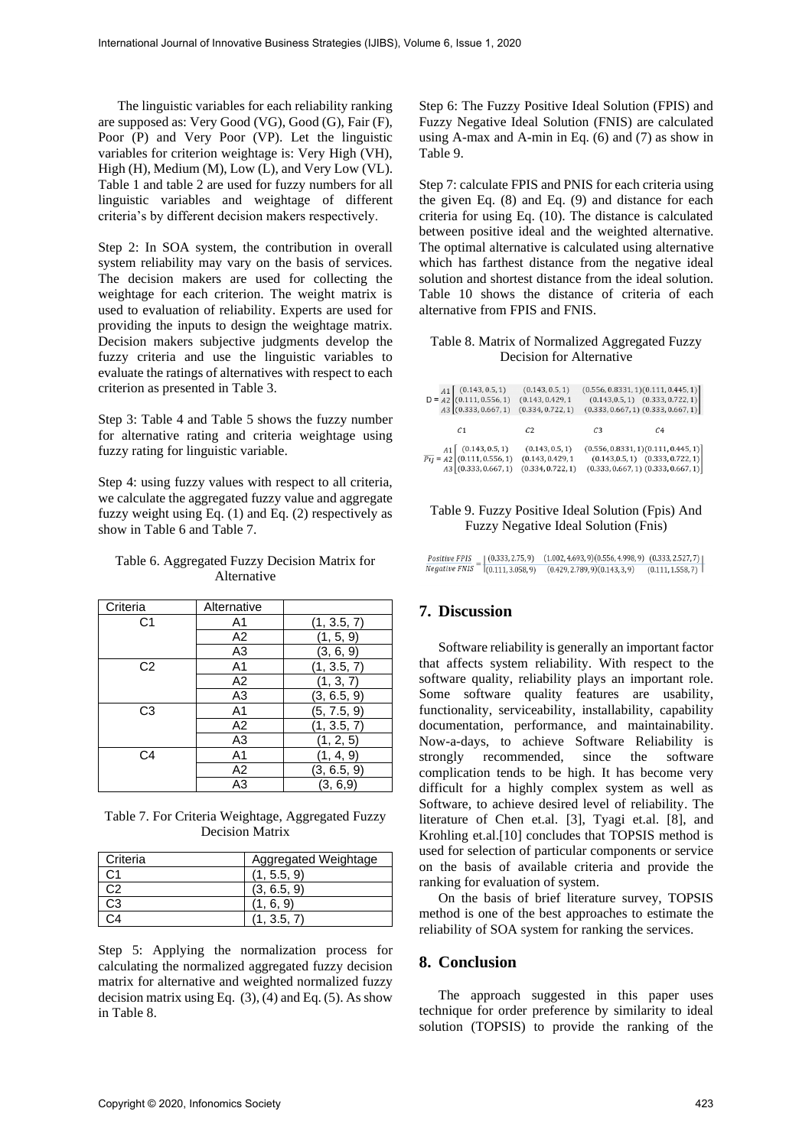The linguistic variables for each reliability ranking are supposed as: Very Good (VG), Good (G), Fair (F), Poor (P) and Very Poor (VP). Let the linguistic variables for criterion weightage is: Very High (VH), High (H), Medium (M), Low (L), and Very Low (VL). Table 1 and table 2 are used for fuzzy numbers for all linguistic variables and weightage of different criteria's by different decision makers respectively.

Step 2: In SOA system, the contribution in overall system reliability may vary on the basis of services. The decision makers are used for collecting the weightage for each criterion. The weight matrix is used to evaluation of reliability. Experts are used for providing the inputs to design the weightage matrix. Decision makers subjective judgments develop the fuzzy criteria and use the linguistic variables to evaluate the ratings of alternatives with respect to each criterion as presented in Table 3.

Step 3: Table 4 and Table 5 shows the fuzzy number for alternative rating and criteria weightage using fuzzy rating for linguistic variable.

Step 4: using fuzzy values with respect to all criteria, we calculate the aggregated fuzzy value and aggregate fuzzy weight using Eq. (1) and Eq. (2) respectively as show in Table 6 and Table 7.

### Table 6. Aggregated Fuzzy Decision Matrix for Alternative

| Criteria       | Alternative    |             |
|----------------|----------------|-------------|
| C1             | A <sub>1</sub> | (1, 3.5, 7) |
|                | A2             | (1, 5, 9)   |
|                | A <sub>3</sub> | (3, 6, 9)   |
| C <sub>2</sub> | A <sub>1</sub> | (1, 3.5, 7) |
|                | A <sub>2</sub> | (1, 3, 7)   |
|                | A <sub>3</sub> | (3, 6.5, 9) |
| C <sub>3</sub> | A <sub>1</sub> | (5, 7.5, 9) |
|                | A2             | (1, 3.5, 7) |
|                | A <sub>3</sub> | (1, 2, 5)   |
| C4             | A <sub>1</sub> | (1, 4, 9)   |
|                | A <sub>2</sub> | (3, 6.5, 9) |
|                | A <sub>3</sub> | (3, 6, 9)   |

Table 7. For Criteria Weightage, Aggregated Fuzzy Decision Matrix

| Criteria | Aggregated Weightage |
|----------|----------------------|
|          | (1, 5.5, 9)          |
|          | (3, 6.5, 9)          |
| 33       |                      |
|          |                      |

Step 5: Applying the normalization process for calculating the normalized aggregated fuzzy decision matrix for alternative and weighted normalized fuzzy decision matrix using Eq.  $(3)$ ,  $(4)$  and Eq.  $(5)$ . As show in Table 8.

Step 6: The Fuzzy Positive Ideal Solution (FPIS) and Fuzzy Negative Ideal Solution (FNIS) are calculated using A-max and A-min in Eq. (6) and (7) as show in Table 9.

Step 7: calculate FPIS and PNIS for each criteria using the given Eq. (8) and Eq. (9) and distance for each criteria for using Eq. (10). The distance is calculated between positive ideal and the weighted alternative. The optimal alternative is calculated using alternative which has farthest distance from the negative ideal solution and shortest distance from the ideal solution. Table 10 shows the distance of criteria of each alternative from FPIS and FNIS.

## Table 8. Matrix of Normalized Aggregated Fuzzy Decision for Alternative

|  | $A1\begin{bmatrix} (0.143, 0.5, 1) \\ (0.111, 0.556, 1) \end{bmatrix}$<br>$A3$ (0.333, 0.667, 1)                                 | (0.143, 0.5, 1)<br>(0.143, 0.429, 1<br>(0.334, 0.722, 1) |                | (0.556, 0.8331, 1)(0.111, 0.445, 1)]<br>$(0.143, 0.5, 1)$ $(0.333, 0.722, 1)$<br>$(0.333, 0.667, 1)$ $(0.333, 0.667, 1)$                                    |
|--|----------------------------------------------------------------------------------------------------------------------------------|----------------------------------------------------------|----------------|-------------------------------------------------------------------------------------------------------------------------------------------------------------|
|  | C <sub>1</sub>                                                                                                                   | C <sub>2</sub>                                           | C <sub>3</sub> | C <sub>4</sub>                                                                                                                                              |
|  | $\frac{A1}{P_{ij}} = \frac{A2}{A2} \begin{bmatrix} (0.143, 0.5, 1) \\ (0.111, 0.556, 1) \end{bmatrix}$<br>$A3$ (0.333, 0.667, 1) | (0.143, 0.5, 1)<br>(0.143, 0.429, 1<br>(0.334, 0.722, 1) |                | $\begin{array}{c} (0.556, 0.8331, 1) (0.111, 0.445, 1) \\ (0.143, 0.5, 1) \quad (0.333, 0.722, 1) \\ (0.333, 0.667, 1) \quad (0.333, 0.667, 1) \end{array}$ |

#### Table 9. Fuzzy Positive Ideal Solution (Fpis) And Fuzzy Negative Ideal Solution (Fnis)

 $\frac{Positive\ FPIS}{Negative\ FNIS} = \begin{bmatrix} (0.333, 2.75, 9) & (1.002, 4.693, 9) (0.556, 4.998, 9) & (0.333, 2.527, 7) \\ (0.111, 3.058, 9) & (0.429, 2.789, 9) (0.143, 3, 9) & (0.111, 1.558, 7) \end{bmatrix}$ 

# **7. Discussion**

Software reliability is generally an important factor that affects system reliability. With respect to the software quality, reliability plays an important role. Some software quality features are usability, functionality, serviceability, installability, capability documentation, performance, and maintainability. Now-a-days, to achieve Software Reliability is strongly recommended, since the software complication tends to be high. It has become very difficult for a highly complex system as well as Software, to achieve desired level of reliability. The literature of Chen et.al. [3], Tyagi et.al. [8], and Krohling et.al.[10] concludes that TOPSIS method is used for selection of particular components or service on the basis of available criteria and provide the ranking for evaluation of system.

On the basis of brief literature survey, TOPSIS method is one of the best approaches to estimate the reliability of SOA system for ranking the services.

# **8. Conclusion**

The approach suggested in this paper uses technique for order preference by similarity to ideal solution (TOPSIS) to provide the ranking of the